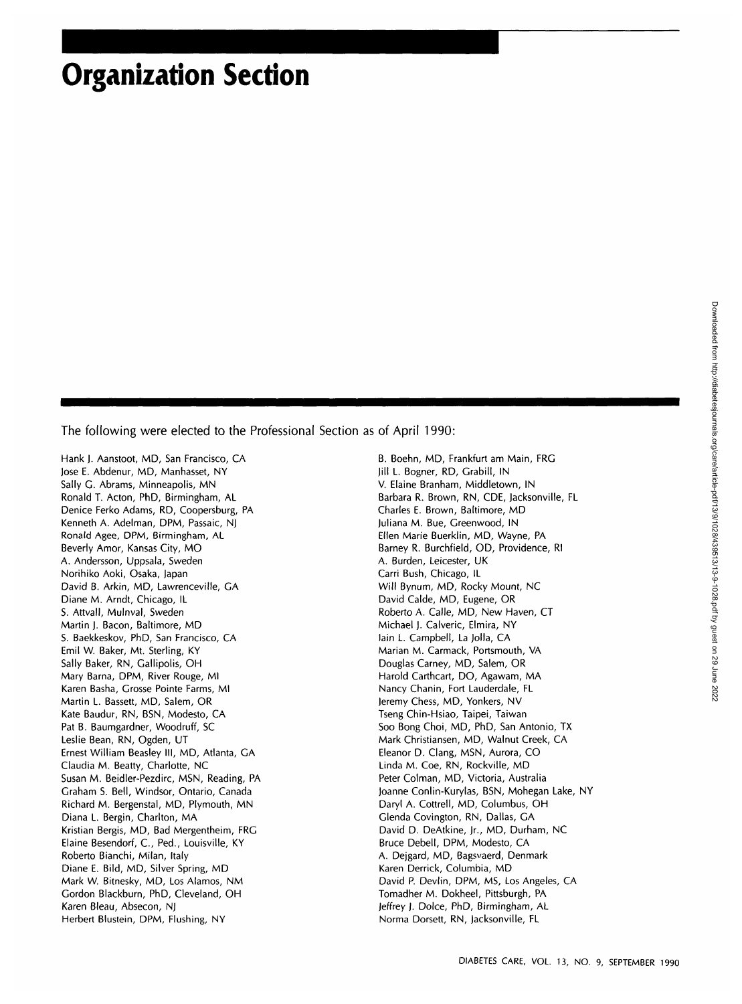# **Organization Section**

The following were elected to the Professional Section as of April 1990:

Hank J. Aanstoot, MD, San Francisco, CA Jose E. Abdenur, MD, Manhasset, NY Sally C. Abrams, Minneapolis, MN Ronald T. Acton, PhD, Birmingham, AL Denice Ferko Adams, RD, Coopersburg, PA Kenneth A. Adelman, DPM, Passaic, NJ Ronald Agee, DPM, Birmingham, AL Beverly Amor, Kansas City, MO A. Andersson, Uppsala, Sweden Norihiko Aoki, Osaka, Japan David B. Arkin, MD, Lawrenceville, CA Diane M. Arndt, Chicago, IL S. Attvall, Mulnval, Sweden Martin J. Bacon, Baltimore, MD S. Baekkeskov, PhD, San Francisco, CA Emil W. Baker, Mt. Sterling, KY Sally Baker, RN, Gallipolis, OH Mary Barna, DPM, River Rouge, Ml Karen Basha, Crosse Pointe Farms, Ml Martin L. Bassett, MD, Salem, OR Kate Baudur, RN, BSN, Modesto, CA Pat B. Baumgardner, Woodruff, SC Leslie Bean, RN, Ogden, UT Ernest William Beasley III, MD, Atlanta, GA Claudia M. Beatty, Charlotte, NC Susan M. Beidler-Pezdirc, MSN, Reading, PA Graham S. Bell, Windsor, Ontario, Canada Richard M. Bergenstal, MD, Plymouth, MN Diana L. Bergin, Charlton, MA Kristian Bergis, MD, Bad Mergentheim, FRG Elaine Besendorf, C, Ped., Louisville, KY Roberto Bianchi, Milan, Italy Diane E. Bild, MD, Silver Spring, MD Mark W. Bitnesky, MD, Los Alamos, NM Gordon Blackburn, PhD, Cleveland, OH Karen Bleau, Absecon, NJ Herbert Blustein, DPM, Flushing, NY

B. Boehn, MD, Frankfurt am Main, FRG Jill L. Bogner, RD, Grabill, IN V. Elaine Branham, Middletown, IN Barbara R. Brown, RN, CDE, Jacksonville, FL Charles E. Brown, Baltimore, MD Juliana M. Bue, Greenwood, IN Ellen Marie Buerklin, MD, Wayne, PA Barney R. Burchfield, OD, Providence, Rl A. Burden, Leicester, UK Carri Bush, Chicago, IL Will Bynum, MD, Rocky Mount, NC David Calde, MD, Eugene, OR Roberto A. Calle, MD, New Haven, CT Michael J. Calveric, Elmira, NY lain L. Campbell, La Jolla, CA Marian M. Carmack, Portsmouth, VA Douglas Carney, MD, Salem, OR Harold Carthcart, DO, Agawam, MA Nancy Chanin, Fort Lauderdale, FL Jeremy Chess, MD, Yonkers, NV Tseng Chin-Hsiao, Taipei, Taiwan Soo Bong Choi, MD, PhD, San Antonio, TX Mark Christiansen, MD, Walnut Creek, CA Eleanor D. Clang, MSN, Aurora, CO Linda M. Coe, RN, Rockville, MD Peter Colman, MD, Victoria, Australia Joanne Conlin-Kurylas, BSN, Mohegan Lake, NY Daryl A. Cottrell, MD, Columbus, OH Glenda Covington, RN, Dallas, GA David D. DeAtkine, Jr., MD, Durham, NC Bruce Debell, DPM, Modesto, CA A. Dejgard, MD, Bagsvaerd, Denmark Karen Derrick, Columbia, MD David P. Devlin, DPM, MS, Los Angeles, CA Tomadher M. Dokheel, Pittsburgh, PA Jeffrey J. Dolce, PhD, Birmingham, AL Norma Dorsett, RN, Jacksonville, FL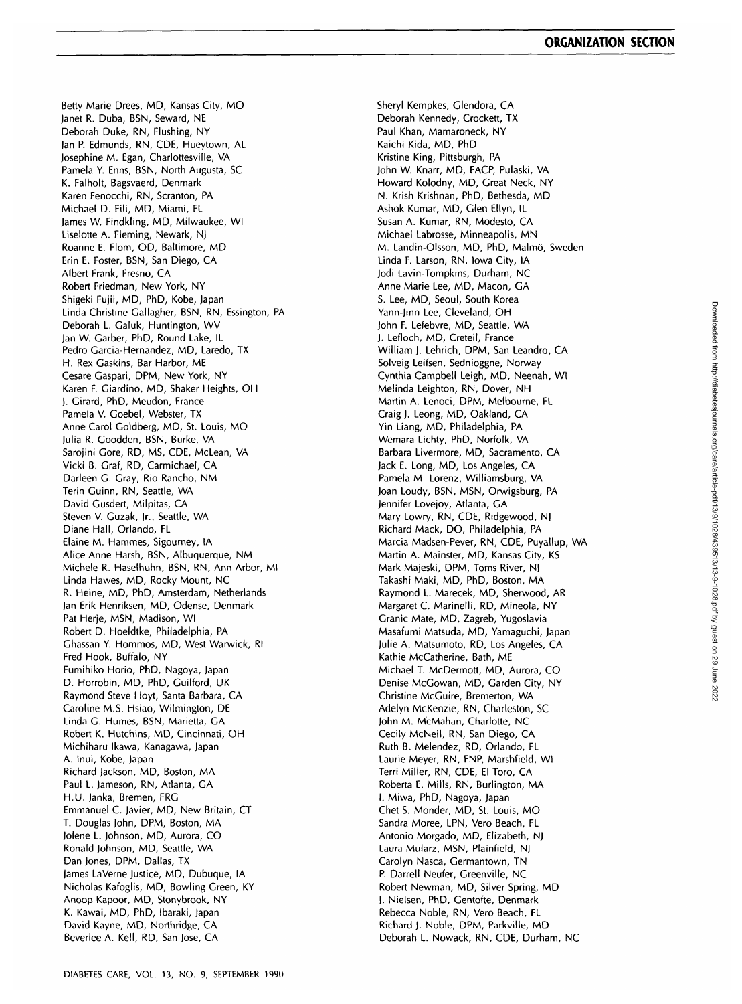Betty Marie Drees, MD, Kansas City, MO Janet R. Duba, BSN, Seward, NE Deborah Duke, RN, Flushing, NY Jan P. Edmunds, RN, CDE, Hueytown, AL Josephine M. Egan, Charlottesville, VA Pamela Y. Enns, BSN, North Augusta, SC K. Falholt, Bagsvaerd, Denmark Karen Fenocchi, RN, Scranton, PA Michael D. Fili, MD, Miami, FL James W. Findkling, MD, Milwaukee, Wl Liselotte A. Fleming, Newark, NJ Roanne E. Flom, OD, Baltimore, MD Erin E. Foster, BSN, San Diego, CA Albert Frank, Fresno, CA Robert Friedman, New York, NY Shigeki Fujii, MD, PhD, Kobe, Japan Linda Christine Gallagher, BSN, RN, Essington, PA Deborah L. Galuk, Huntington, WV Jan W. Garber, PhD, Round Lake, IL Pedro Garcia-Hernandez, MD, Laredo, TX H. Rex Gaskins, Bar Harbor, ME Cesare Gaspari, DPM, New York, NY Karen F. Giardino, MD, Shaker Heights, OH J. Girard, PhD, Meudon, France Pamela V. Goebel, Webster, TX Anne Carol Goldberg, MD, St. Louis, MO Julia R. Goodden, BSN, Burke, VA Sarojini Gore, RD, MS, CDE, McLean, VA Vicki B. Graf, RD, Carmichael, CA Darleen G. Gray, Rio Rancho, NM Terin Guinn, RN, Seattle, WA David Gusdert, Milpitas, CA Steven V. Guzak, Jr., Seattle, WA Diane Hall, Orlando, FL Elaine M. Hammes, Sigourney, IA Alice Anne Harsh, BSN, Albuquerque, NM Michele R. Haselhuhn, BSN, RN, Ann Arbor, Ml Linda Hawes, MD, Rocky Mount, NC R. Heine, MD, PhD, Amsterdam, Netherlands Jan Erik Henriksen, MD, Odense, Denmark Pat Herje, MSN, Madison, Wl Robert D. Hoeldtke, Philadelphia, PA Ghassan Y. Hommos, MD, West Warwick, Rl Fred Hook, Buffalo, NY Fumihiko Horio, PhD, Nagoya, Japan D. Horrobin, MD, PhD, Guilford, UK Raymond Steve Hoyt, Santa Barbara, CA Caroline M.S. Hsiao, Wilmington, DE Linda G. Humes, BSN, Marietta, GA Robert K. Hutchins, MD, Cincinnati, OH Michiharu Ikawa, Kanagawa, Japan A. Inui, Kobe, Japan Richard Jackson, MD, Boston, MA Paul L. Jameson, RN, Atlanta, GA H.U. Janka, Bremen, FRG Emmanuel C. Javier, MD, New Britain, CT T. Douglas John, DPM, Boston, MA Jolene L. Johnson, MD, Aurora, CO Ronald Johnson, MD, Seattle, WA Dan Jones, DPM, Dallas, TX James LaVerne Justice, MD, Dubuque, IA Nicholas Kafoglis, MD, Bowling Green, KY Anoop Kapoor, MD, Stonybrook, NY K. Kawai, MD, PhD, Ibaraki, Japan David Kayne, MD, Northridge, CA Beverlee A. Kell, RD, San Jose, CA

Sheryl Kempkes, Glendora, CA Deborah Kennedy, Crockett, TX Paul Khan, Mamaroneck, NY Kaichi Kida, MD, PhD Kristine King, Pittsburgh, PA John W. Knarr, MD, FACP, Pulaski, VA Howard Kolodny, MD, Great Neck, NY N. Krish Krishnan, PhD, Bethesda, MD Ashok Kumar, MD, Glen Ellyn, IL Susan A. Kumar, RN, Modesto, CA Michael Labrosse, Minneapolis, MN M. Landin-Olsson, MD, PhD, Malmö, Sweden Linda F. Larson, RN, Iowa City, IA Jodi Lavin-Tompkins, Durham, NC Anne Marie Lee, MD, Macon, GA S. Lee, MD, Seoul, South Korea Yann-Jinn Lee, Cleveland, OH John F. Lefebvre, MD, Seattle, WA J. Lefloch, MD, Creteil, France William J. Lehrich, DPM, San Leandro, CA Solveig Leifsen, Sednioggne, Norway Cynthia Campbell Leigh, MD, Neenah, Wl Melinda Leighton, RN, Dover, NH Martin A. Lenoci, DPM, Melbourne, FL Craig J. Leong, MD, Oakland, CA Yin Liang, MD, Philadelphia, PA Wemara Lichty, PhD, Norfolk, VA Barbara Livermore, MD, Sacramento, CA Jack E. Long, MD, Los Angeles, CA Pamela M. Lorenz, Williamsburg, VA Joan Loudy, BSN, MSN, Orwigsburg, PA Jennifer Lovejoy, Atlanta, GA Mary Lowry, RN, CDE, Ridgewood, NJ Richard Mack, DO, Philadelphia, PA Marcia Madsen-Pever, RN, CDE, Puyallup, WA Martin A. Mainster, MD, Kansas City, KS Mark Majeski, DPM, Toms River, NJ Takashi Maki, MD, PhD, Boston, MA Raymond L. Marecek, MD, Sherwood, AR Margaret C. Marinelli, RD, Mineola, NY Granic Mate, MD, Zagreb, Yugoslavia Masafumi Matsuda, MD, Yamaguchi, Japan Julie A. Matsumoto, RD, Los Angeles, CA Kathie McCatherine, Bath, ME Michael T. McDermott, MD, Aurora, CO Denise McGowan, MD, Garden City, NY Christine McGuire, Bremerton, WA Adelyn McKenzie, RN, Charleston, SC John M. McMahan, Charlotte, NC Cecily McNeil, RN, San Diego, CA Ruth B. Melendez, RD, Orlando, FL Laurie Meyer, RN, FNP, Marshfield, Wl Terri Miller, RN, CDE, El Toro, CA Roberta E. Mills, RN, Burlington, MA I. Miwa, PhD, Nagoya, Japan Chet S. Monder, MD, St. Louis, MO Sandra Moree, LPN, Vero Beach, FL Antonio Morgado, MD, Elizabeth, NJ Laura Mularz, MSN, Plainfield, NJ Carolyn Nasca, Germantown, TN P. Darrell Neufer, Greenville, NC Robert Newman, MD, Silver Spring, MD J. Nielsen, PhD, Gentofte, Denmark Rebecca Noble, RN, Vero Beach, FL Richard J. Noble, DPM, Parkville, MD Deborah L. Nowack, RN, CDE, Durham, NC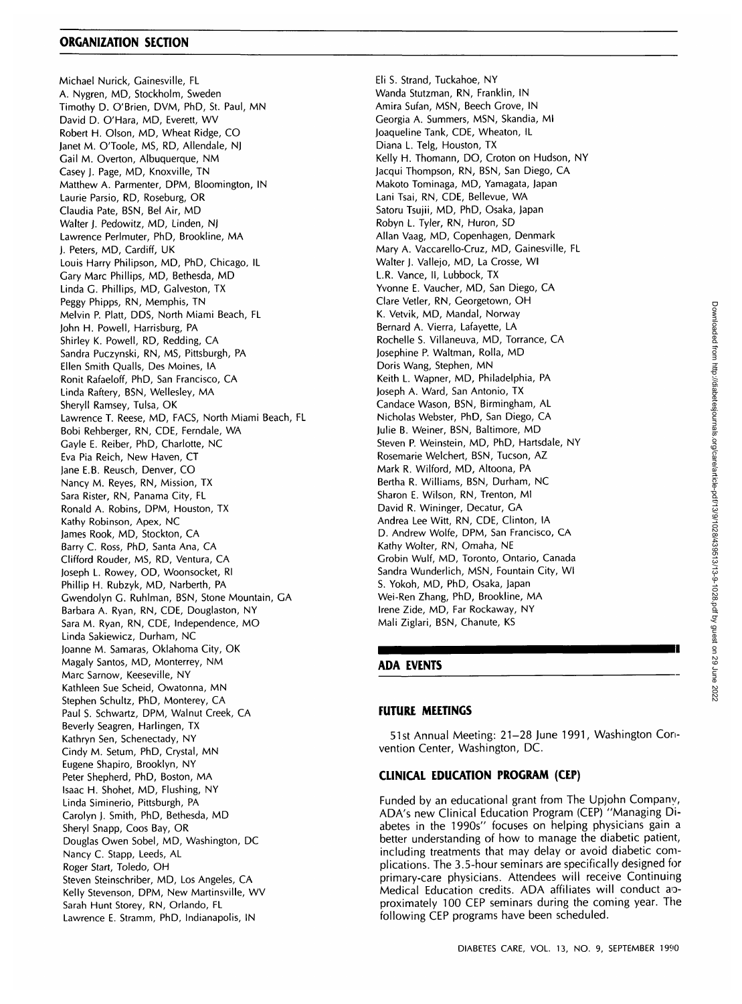#### **ORGANIZATION SECTION**

Michael Nurick, Gainesville, FL A. Nygren, MD, Stockholm, Sweden Timothy D. O'Brien, DVM, PhD, St. Paul, MN David D. O'Hara, MD, Everett, WV Robert H. Olson, MD, Wheat Ridge, CO Janet M. O'Toole, MS, RD, Allendale, NJ Gail M. Overton, Albuquerque, NM Casey J. Page, MD, Knoxville, TN Matthew A. Parmenter, DPM, Bloomington, IN Laurie Parsio, RD, Roseburg, OR Claudia Pate, BSN, Bel Air, MD Walter J. Pedowitz, MD, Linden, NJ Lawrence Perlmuter, PhD, Brookline, MA J. Peters, MD, Cardiff, UK Louis Harry Philipson, MD, PhD, Chicago, IL Gary Marc Phillips, MD, Bethesda, MD Linda G. Phillips, MD, Galveston, TX Peggy Phipps, RN, Memphis, TN Melvin P. Platt, DDS, North Miami Beach, FL John H. Powell, Harrisburg, PA Shirley K. Powell, RD, Redding, CA Sandra Puczynski, RN, MS, Pittsburgh, PA Ellen Smith Quails, Des Moines, IA Ronit Rafaeloff, PhD, San Francisco, CA Linda Raftery, BSN, Wellesley, MA Sheryll Ramsey, Tulsa, OK Lawrence T. Reese, MD, FACS, North Miami Beach, FL Bobi Rehberger, RN, CDE, Ferndale, WA Gayle E. Reiber, PhD, Charlotte, NC Eva Pia Reich, New Haven, CT Jane E.B. Reusch, Denver, CO Nancy M. Reyes, RN, Mission, TX Sara Rister, RN, Panama City, FL Ronald A. Robins, DPM, Houston, TX Kathy Robinson, Apex, NC James Rook, MD, Stockton, CA Barry C. Ross, PhD, Santa Ana, CA Clifford Rouder, MS, RD, Ventura, CA Joseph L. Rowey, OD, Woonsocket, Rl Phillip H. Rubzyk, MD, Narberth, PA Gwendolyn G. Ruhlman, BSN, Stone Mountain, GA Barbara A. Ryan, RN, CDE, Douglaston, NY Sara M. Ryan, RN, CDE, Independence, MO Linda Sakiewicz, Durham, NC Joanne M. Samaras, Oklahoma City, OK Magaly Santos, MD, Monterrey, NM Marc Sarnow, Keeseville, NY Kathleen Sue Scheid, Owatonna, MN Stephen Schultz, PhD, Monterey, CA Paul S. Schwartz, DPM, Walnut Creek, CA Beverly Seagren, Harlingen, TX Kathryn Sen, Schenectady, NY Cindy M. Setum, PhD, Crystal, MN Eugene Shapiro, Brooklyn, NY Peter Shepherd, PhD, Boston, MA Isaac H. Shohet, MD, Flushing, NY Linda Siminerio, Pittsburgh, PA Carolyn J. Smith, PhD, Bethesda, MD Sheryl Snapp, Coos Bay, OR Douglas Owen Sobel, MD, Washington, DC Nancy C. Stapp, Leeds, AL Roger Start, Toledo, OH Steven Steinschriber, MD, Los Angeles, CA Kelly Stevenson, DPM, New Martinsville, WV Sarah Hunt Storey, RN, Orlando, FL Lawrence E. Stramm, PhD, Indianapolis, IN

Eli S. Strand, Tuckahoe, NY Wanda Stutzman, RN, Franklin, IN Amira Sufan, MSN, Beech Grove, IN Georgia A. Summers, MSN, Skandia, Ml Joaqueline Tank, CDE, Wheaton, IL Diana L. Telg, Houston, TX Kelly H. Thomann, DO, Croton on Hudson, NY Jacqui Thompson, RN, BSN, San Diego, CA Makoto Tominaga, MD, Yamagata, Japan Lani Tsai, RN, CDE, Bellevue, WA Satoru Tsujii, MD, PhD, Osaka, Japan Robyn L. Tyler, RN, Huron, SD Allan Vaag, MD, Copenhagen, Denmark Mary A. Vaccarello-Cruz, MD, Gainesville, FL Walter J. Vallejo, MD, La Crosse, Wl L.R. Vance, II, Lubbock, TX Yvonne E. Vaucher, MD, San Diego, CA Clare Vetler, RN, Georgetown, OH K. Vetvik, MD, Mandal, Norway Bernard A. Vierra, Lafayette, LA Rochelle S. Villaneuva, MD, Torrance, CA Josephine P. Waltman, Rolla, MD Doris Wang, Stephen, MN Keith L. Wapner, MD, Philadelphia, PA Joseph A. Ward, San Antonio, TX Candace Wason, BSN, Birmingham, AL Nicholas Webster, PhD, San Diego, CA Julie B. Weiner, BSN, Baltimore, MD Steven P. Weinstein, MD, PhD, Hartsdale, NY Rosemarie Welchert, BSN, Tucson, AZ Mark R. Wilford, MD, Altoona, PA Bertha R. Williams, BSN, Durham, NC Sharon E. Wilson, RN, Trenton, Ml David R. Wininger, Decatur, GA Andrea Lee Witt, RN, CDE, Clinton, IA D. Andrew Wolfe, DPM, San Francisco, CA Kathy Wolter, RN, Omaha, NE Grobin Wulf, MD, Toronto, Ontario, Canada Sandra Wunderlich, MSN, Fountain City, Wl S. Yokoh, MD, PhD, Osaka, Japan Wei-Ren Zhang, PhD, Brookline, MA Irene Zide, MD, Far Rockaway, NY Mali Ziglari, BSN, Chanute, KS

# **ADA EVENTS**

# **FUTURE MEETINGS**

51st Annual Meeting: 21-28 June 1991, Washington Convention Center, Washington, DC.

# **CLINICAL EDUCATION PROGRAM (CEP)**

Funded by an educational grant from The Upjohn Company, ADA's new Clinical Education Program (CEP) "Managing Diabetes in the 1990s" focuses on helping physicians gain a better understanding of how to manage the diabetic patient, including treatments that may delay or avoid diabetic complications. The 3.5-hour seminars are specifically designed for primary-care physicians. Attendees will receive Continuing Medical Education credits. ADA affiliates will conduct aoproximately 100 CEP seminars during the coming year. The following CEP programs have been scheduled.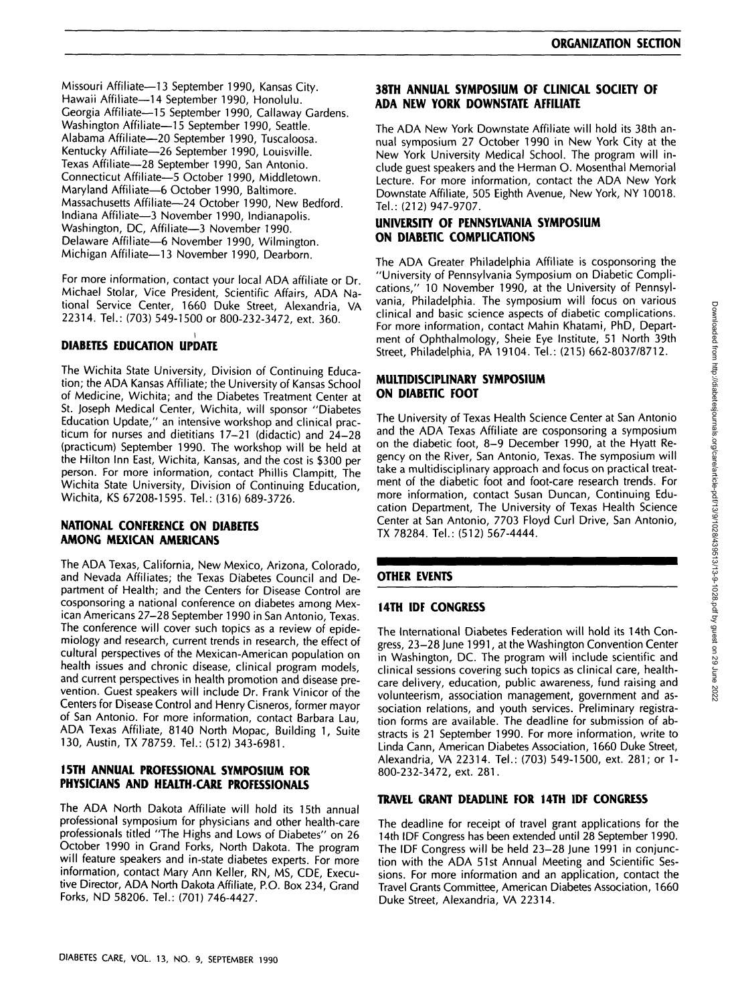Missouri Affiliate—13 September 1990, Kansas City. Hawaii Affiliate—14 September 1990, Honolulu. Georgia Affiliate—15 September 1990, Callaway Gardens. Washington Affiliate—15 September 1990, Seattle. Alabama Affiliate—20 September 1990, Tuscaloosa. Kentucky Affiliate—26 September 1990, Louisville. Texas Affiliate—28 September 1990, San Antonio. Connecticut Affiliate—5 October 1990, Middletown. Maryland Affiliate—6 October 1990, Baltimore. Massachusetts Affiliate—24 October 1990, New Bedford. Indiana Affiliate—3 November 1990, Indianapolis. Washington, DC, Affiliate—3 November 1990. Delaware Affiliate—6 November 1990, Wilmington. Michigan Affiliate—13 November 1990, Dearborn.

For more information, contact your local ADA affiliate or Dr. Michael Stolar, Vice President, Scientific Affairs, ADA National Service Center, 1660 Duke Street, Alexandria, VA 22314. Tel.: (703) 549-1500 or 800-232-3472, ext. 360.

# **DIABETES EDUCATION UPDATE**

The Wichita State University, Division of Continuing Education; the ADA Kansas Affiliate; the University of Kansas School of Medicine, Wichita; and the Diabetes Treatment Center at St. Joseph Medical Center, Wichita, will sponsor "Diabetes Education Update," an intensive workshop and clinical practicum for nurses and dietitians 17-21 (didactic) and 24-28 (practicum) September 1990. The workshop will be held at the Hilton Inn East, Wichita, Kansas, and the cost is \$300 per person. For more information, contact Phillis Clampitt, The Wichita State University, Division of Continuing Education, Wichita, KS 67208-1595. Tel.: (316) 689-3726.

#### **NATIONAL CONFERENCE ON DIABETES AMONG MEXICAN AMERICANS**

The ADA Texas, California, New Mexico, Arizona, Colorado, and Nevada Affiliates; the Texas Diabetes Council and Department of Health; and the Centers for Disease Control are cosponsoring a national conference on diabetes among Mexican Americans 27-28 September 1990 in San Antonio, Texas. The conference will cover such topics as a review of epidemiology and research, current trends in research, the effect of cultural perspectives of the Mexican-American population on health issues and chronic disease, clinical program models, and current perspectives in health promotion and disease prevention. Guest speakers will include Dr. Frank Vinicor of the Centers for Disease Control and Henry Cisneros, former mayor of San Antonio. For more information, contact Barbara Lau, ADA Texas Affiliate, 8140 North Mopac, Building 1, Suite 130, Austin, TX 78759. Tel.: (512) 343-6981.

# **I5TH ANNUAL PROFESSIONAL SYMPOSIUM FOR PHYSICIANS AND HEALTH-CARE PROFESSIONALS**

The ADA North Dakota Affiliate will hold its 15th annual professional symposium for physicians and other health-care professionals titled "The Highs and Lows of Diabetes" on 26 October 1990 in Grand Forks, North Dakota. The program will feature speakers and in-state diabetes experts. For more information, contact Mary Ann Keller, RN, MS, CDE, Executive Director, ADA North Dakota Affiliate, P.O. Box 234, Grand Forks, ND 58206. Tel.: (701) 746-4427.

# **38TH ANNUAL SYMPOSIUM OF CLINICAL SOCIETY OF ADA NEW YORK DOWNSTATE AFFILIATE**

The ADA New York Downstate Affiliate will hold its 38th annual symposium 27 October 1990 in New York City at the New York University Medical School. The program will include guest speakers and the Herman O. Mosenthal Memorial Lecture. For more information, contact the ADA New York Downstate Affiliate, 505 Eighth Avenue, New York, NY 10018. Tel.: (212) 947-9707.

# **UNIVERSITY OF PENNSYLVANIA SYMPOSIUM ON DIABETIC COMPLICATIONS**

The ADA Greater Philadelphia Affiliate is cosponsoring the "University of Pennsylvania Symposium on Diabetic Complications," 10 November 1990, at the University of Pennsylvania, Philadelphia. The symposium will focus on various clinical and basic science aspects of diabetic complications. For more information, contact Mahin Khatami, PhD, Department of Ophthalmology, Sheie Eye Institute, 51 North 39th Street, Philadelphia, PA 19104. Tel.: (215) 662-8037/8712.

# **MULTIDISCIPLINARY SYMPOSIUM ON DIABETIC FOOT**

The University of Texas Health Science Center at San Antonio and the ADA Texas Affiliate are cosponsoring a symposium on the diabetic foot, 8-9 December 1990, at the Hyatt Regency on the River, San Antonio, Texas. The symposium will take a multidisciplinary approach and focus on practical treatment of the diabetic foot and foot-care research trends. For more information, contact Susan Duncan, Continuing Education Department, The University of Texas Health Science Center at San Antonio, 7703 Floyd Curl Drive, San Antonio, TX 78284. Tel.: (512) 567-4444.

# **OTHER EVENTS**

# **14TH IDF CONGRESS**

The International Diabetes Federation will hold its 14th Congress, 23-28 June 1991, at the Washington Convention Center in Washington, DC. The program will include scientific and clinical sessions covering such topics as clinical care, healthcare delivery, education, public awareness, fund raising and volunteerism, association management, government and association relations, and youth services. Preliminary registration forms are available. The deadline for submission of abstracts is 21 September 1990. For more information, write to Linda Cann, American Diabetes Association, 1660 Duke Street, Alexandria, VA 22314. Tel.: (703) 549-1500, ext. 281; or 1- 800-232-3472, ext. 281.

#### **TRAVEL GRANT DEADLINE FOR 14TH IDF CONGRESS**

The deadline for receipt of travel grant applications for the 14th IDF Congress has been extended until 28 September 1990. The IDF Congress will be held 23-28 June 1991 in conjunction with the ADA 51st Annual Meeting and Scientific Sessions. For more information and an application, contact the Travel Grants Committee, American Diabetes Association, 1660 Duke Street, Alexandria, VA 22314.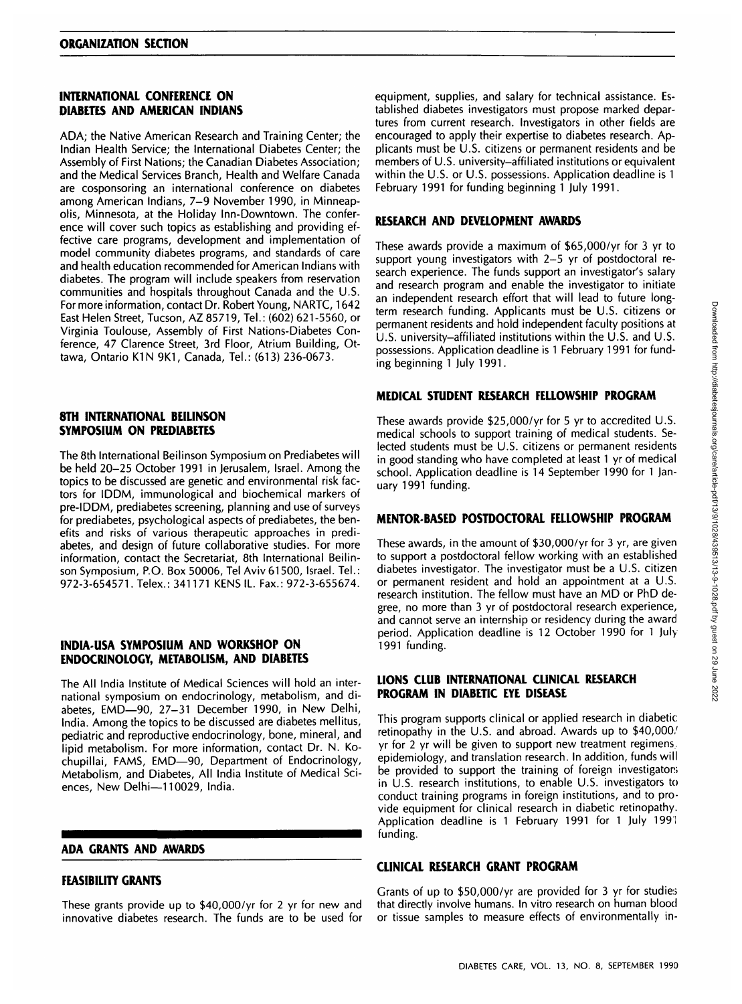# **INTERNATIONAL CONFERENCE ON DIABETES AND AMERICAN INDIANS**

ADA; the Native American Research and Training Center; the Indian Health Service; the International Diabetes Center; the Assembly of First Nations; the Canadian Diabetes Association; and the Medical Services Branch, Health and Welfare Canada are cosponsoring an international conference on diabetes among American Indians, 7-9 November 1990, in Minneapolis, Minnesota, at the Holiday Inn-Downtown. The conference will cover such topics as establishing and providing effective care programs, development and implementation of model community diabetes programs, and standards of care and health education recommended for American Indians with diabetes. The program will include speakers from reservation communities and hospitals throughout Canada and the U.S. For more information, contact Dr. Robert Young, NARTC, 1642 East Helen Street, Tucson, AZ 85719, Tel.: (602) 621-5560, or Virginia Toulouse, Assembly of First Nations-Diabetes Conference, 47 Clarence Street, 3rd Floor, Atrium Building, Ottawa, Ontario K1N 9K1, Canada, Tel.: (613) 236-0673.

# **8TH INTERNATIONAL BEILINSON SYMPOSIUM ON PREDIABETES**

The 8th International Beilinson Symposium on Prediabetes will be held 20-25 October 1991 in Jerusalem, Israel. Among the topics to be discussed are genetic and environmental risk factors for IDDM, immunological and biochemical markers of pre-IDDM, prediabetes screening, planning and use of surveys for prediabetes, psychological aspects of prediabetes, the benefits and risks of various therapeutic approaches in prediabetes, and design of future collaborative studies. For more information, contact the Secretariat, 8th International Beilinson Symposium, P.O. Box 50006, Tel Aviv 61500, Israel. Tel.: 972-3-654571. Telex.: 341171 KENS IL. Fax.: 972-3-655674.

# **INDIA-USA SYMPOSIUM AND WORKSHOP ON ENDOCRINOLOGY, METABOLISM, AND DIABETES**

The All India Institute of Medical Sciences will hold an international symposium on endocrinology, metabolism, and diabetes, EMD—90, 27-31 December 1990, in New Delhi, India. Among the topics to be discussed are diabetes mellitus, pediatric and reproductive endocrinology, bone, mineral, and lipid metabolism. For more information, contact Dr. N. Kochupillai, FAMS, EMD—90, Department of Endocrinology, Metabolism, and Diabetes, All India Institute of Medical Sciences, New Delhi—110029, India.

#### **ADA GRANTS AND AWARDS**

# **FEASIBILITY GRANTS**

These grants provide up to \$40,000/yr for 2 yr for new and innovative diabetes research. The funds are to be used for

equipment, supplies, and salary for technical assistance. Established diabetes investigators must propose marked departures from current research. Investigators in other fields are encouraged to apply their expertise to diabetes research. Applicants must be U.S. citizens or permanent residents and be members of U.S. university-affiliated institutions or equivalent within the U.S. or U.S. possessions. Application deadline is 1 February 1991 for funding beginning 1 July 1991.

## **RESEARCH AND DEVELOPMENT AWARDS**

These awards provide a maximum of \$65,000/yr for 3 yr to support young investigators with 2-5 yr of postdoctoral research experience. The funds support an investigator's salary and research program and enable the investigator to initiate an independent research effort that will lead to future longterm research funding. Applicants must be U.S. citizens or permanent residents and hold independent faculty positions at U.S. university-affiliated institutions within the U.S. and U.S. possessions. Application deadline is 1 February 1991 for funding beginning 1 July 1991.

# **MEDICAL STUDENT RESEARCH FELLOWSHIP PROGRAM**

These awards provide \$25,000/yr for 5 yr to accredited U.S. medical schools to support training of medical students. Selected students must be U.S. citizens or permanent residents in good standing who have completed at least 1 yr of medical school. Application deadline is 14 September 1990 for 1 January 1991 funding.

# **MENTOR-BASED POSTDOCTORAL FELLOWSHIP PROGRAM**

These awards, in the amount of \$30,000/yr for 3 yr, are given to support a postdoctoral fellow working with an established diabetes investigator. The investigator must be a U.S. citizen or permanent resident and hold an appointment at a U.S. research institution. The fellow must have an MD or PhD degree, no more than 3 yr of postdoctoral research experience, and cannot serve an internship or residency during the award period. Application deadline is 12 October 1990 for 1 July 1991 funding.

## **LIONS CLUB INTERNATIONAL CLINICAL RESEARCH PROGRAM IN DIABETIC EYE DISEASE**

This program supports clinical or applied research in diabetic: retinopathy in the U.S. and abroad. Awards up to \$40,000/ yr for 2 yr will be given to support new treatment regimens, epidemiology, and translation research. In addition, funds will be provided to support the training of foreign investigators in U.S. research institutions, to enable U.S. investigators to conduct training programs in foreign institutions, and to provide equipment for clinical research in diabetic retinopathy. Application deadline is 1 February 1991 for 1 July 1991 funding.

# **CLINICAL RESEARCH GRANT PROGRAM**

Grants of up to \$50,000/yr are provided for 3 yr for studies that directly involve humans. In vitro research on human blood or tissue samples to measure effects of environmentally in